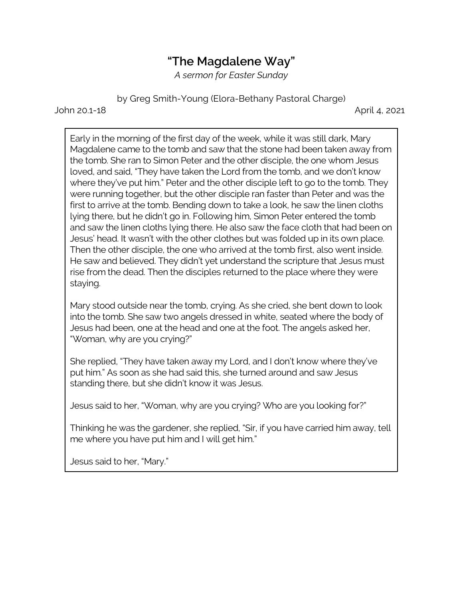## **"The Magdalene Way"**

*A sermon for Easter Sunday*

by Greg Smith-Young (Elora-Bethany Pastoral Charge)

John 20.1-18 April 4, 2021

Early in the morning of the first day of the week, while it was still dark, Mary Magdalene came to the tomb and saw that the stone had been taken away from the tomb. She ran to Simon Peter and the other disciple, the one whom Jesus loved, and said, "They have taken the Lord from the tomb, and we don't know where they've put him." Peter and the other disciple left to go to the tomb. They were running together, but the other disciple ran faster than Peter and was the first to arrive at the tomb. Bending down to take a look, he saw the linen cloths lying there, but he didn't go in. Following him, Simon Peter entered the tomb and saw the linen cloths lying there. He also saw the face cloth that had been on Jesus' head. It wasn't with the other clothes but was folded up in its own place. Then the other disciple, the one who arrived at the tomb first, also went inside. He saw and believed. They didn't yet understand the scripture that Jesus must rise from the dead. Then the disciples returned to the place where they were staying.

Mary stood outside near the tomb, crying. As she cried, she bent down to look into the tomb. She saw two angels dressed in white, seated where the body of Jesus had been, one at the head and one at the foot. The angels asked her, "Woman, why are you crying?"

She replied, "They have taken away my Lord, and I don't know where they've put him." As soon as she had said this, she turned around and saw Jesus standing there, but she didn't know it was Jesus.

Jesus said to her, "Woman, why are you crying? Who are you looking for?"

Thinking he was the gardener, she replied, "Sir, if you have carried him away, tell me where you have put him and I will get him."

Jesus said to her, "Mary."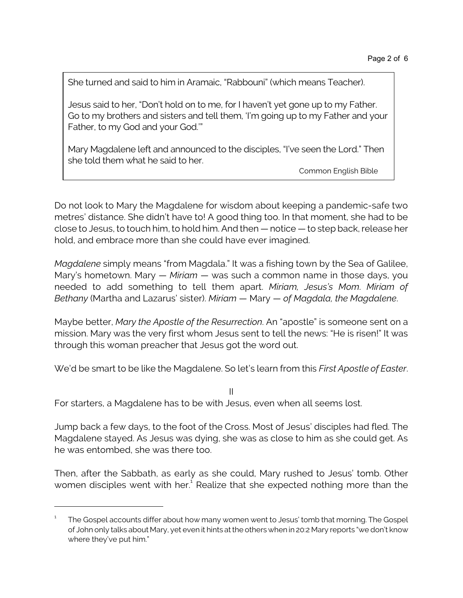She turned and said to him in Aramaic, "Rabbouni" (which means Teacher).

Jesus said to her, "Don't hold on to me, for I haven't yet gone up to my Father. Go to my brothers and sisters and tell them, 'I'm going up to my Father and your Father, to my God and your God.'"

Mary Magdalene left and announced to the disciples, "I've seen the Lord." Then she told them what he said to her.

Common English Bible

Do not look to Mary the Magdalene for wisdom about keeping a pandemic-safe two metres' distance. She didn't have to! A good thing too. In that moment, she had to be close to Jesus, to touch him, to hold him. And then — notice — to step back, release her hold, and embrace more than she could have ever imagined.

*Magdalene* simply means "from Magdala." It was a fishing town by the Sea of Galilee, Mary's hometown. Mary — *Miriam* — was such a common name in those days, you needed to add something to tell them apart. *Miriam, Jesus's Mom*. *Miriam of Bethany* (Martha and Lazarus' sister). *Miriam* — Mary — *of Magdala, the Magdalene*.

Maybe better, *Mary the Apostle of the Resurrection*. An "apostle" is someone sent on a mission. Mary was the very first whom Jesus sent to tell the news: "He is risen!" It was through this woman preacher that Jesus got the word out.

We'd be smart to be like the Magdalene. So let's learn from this *First Apostle of Easter*.

II

For starters, a Magdalene has to be with Jesus, even when all seems lost.

Jump back a few days, to the foot of the Cross. Most of Jesus' disciples had fled. The Magdalene stayed. As Jesus was dying, she was as close to him as she could get. As he was entombed, she was there too.

Then, after the Sabbath, as early as she could, Mary rushed to Jesus' tomb. Other women disciples went with her. $^1$  Realize that she expected nothing more than the

<sup>1</sup> The Gospel accounts differ about how many women went to Jesus' tomb that morning. The Gospel of John only talks about Mary, yet even it hints at the others when in 20:2 Mary reports "we don't know where they've put him."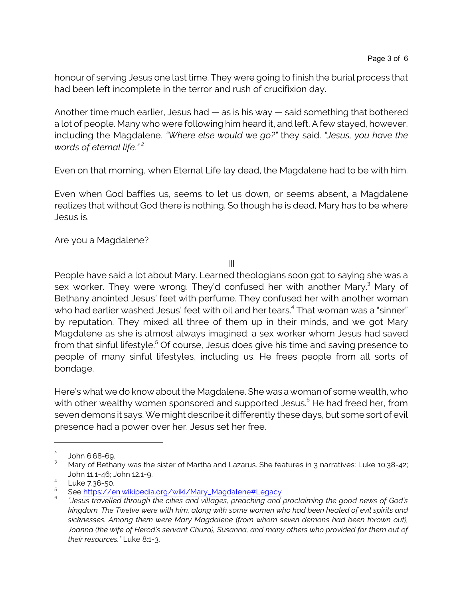honour of serving Jesus one last time. They were going to finish the burial process that had been left incomplete in the terror and rush of crucifixion day.

Another time much earlier, Jesus had — as is his way — said something that bothered a lot of people. Many who were following him heard it, and left. A few stayed, however, including the Magdalene. *"Where else would we go?"* they said. *"Jesus, you have the words of eternal life." <sup>2</sup>*

Even on that morning, when Eternal Life lay dead, the Magdalene had to be with him.

Even when God baffles us, seems to let us down, or seems absent, a Magdalene realizes that without God there is nothing. So though he is dead, Mary has to be where Jesus is.

Are you a Magdalene?

III

People have said a lot about Mary. Learned theologians soon got to saying she was a sex worker. They were wrong. They'd confused her with another Mary.<sup>3</sup> Mary of Bethany anointed Jesus' feet with perfume. They confused her with another woman who had earlier washed Jesus' feet with oil and her tears. 4 That woman was a "sinner" by reputation. They mixed all three of them up in their minds, and we got Mary Magdalene as she is almost always imagined: a sex worker whom Jesus had saved from that sinful lifestyle.<sup>5</sup> Of course, Jesus does give his time and saving presence to people of many sinful lifestyles, including us. He frees people from all sorts of bondage.

Here's what we do know about the Magdalene. She was a woman of some wealth, who with other wealthy women sponsored and supported Jesus. $^{\rm 6}$  He had freed her, from seven demons it says. We might describe it differently these days, but some sort of evil presence had a power over her. Jesus set her free.

<sup>2</sup> John 6:68-69.

<sup>3</sup> Mary of Bethany was the sister of Martha and Lazarus. She features in 3 narratives: Luke 10.38-42; John 11.1-46; John 12.1-9.

<sup>&</sup>lt;sup>4</sup> Luke 7.36-50.

<sup>5</sup> See [https://en.wikipedia.org/wiki/Mary\\_Magdalene#Legacy](https://en.wikipedia.org/wiki/Mary_Magdalene#Legacy)

<sup>6</sup> *"Jesus travelled through the cities and villages, preaching and proclaiming the good news of God's kingdom. The Twelve were with him, along with some women who had been healed of evil spirits and sicknesses. Among them were Mary Magdalene (from whom seven demons had been thrown out), Joanna (the wife of Herod's servant Chuza), Susanna, and many others who provided for them out of their resources."* Luke 8:1-3.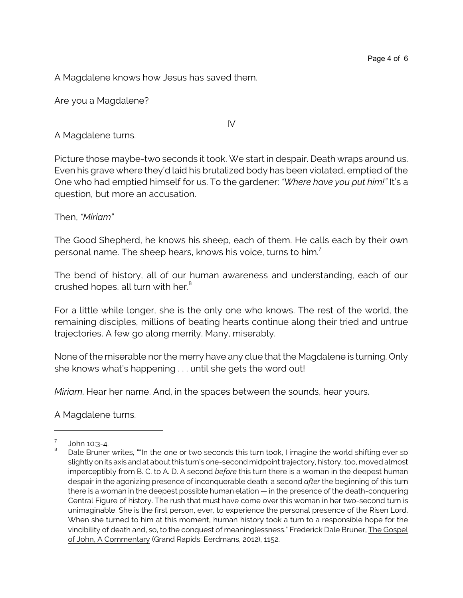A Magdalene knows how Jesus has saved them.

Are you a Magdalene?

A Magdalene turns.

Picture those maybe-two seconds it took. We start in despair. Death wraps around us. Even his grave where they'd laid his brutalized body has been violated, emptied of the One who had emptied himself for us. To the gardener: *"Where have you put him!"* It's a question, but more an accusation.

IV

Then, *"Miriam"*

The Good Shepherd, he knows his sheep, each of them. He calls each by their own personal name. The sheep hears, knows his voice, turns to him.<sup>7</sup>

The bend of history, all of our human awareness and understanding, each of our crushed hopes, all turn with her.<sup>8</sup>

For a little while longer, she is the only one who knows. The rest of the world, the remaining disciples, millions of beating hearts continue along their tried and untrue trajectories. A few go along merrily. Many, miserably.

None of the miserable nor the merry have any clue that the Magdalene is turning. Only she knows what's happening . . . until she gets the word out!

*Miriam*. Hear her name. And, in the spaces between the sounds, hear yours.

A Magdalene turns.

<sup>7</sup> John 10:3-4.

<sup>8</sup> Dale Bruner writes, ""In the one or two seconds this turn took, I imagine the world shifting ever so slightly on its axis and at about this turn's one-second midpoint trajectory, history, too, moved almost imperceptibly from B. C. to A. D. A second *before* this turn there is a woman in the deepest human despair in the agonizing presence of inconquerable death; a second *after* the beginning of this turn there is a woman in the deepest possible human elation — in the presence of the death-conquering Central Figure of history. The rush that must have come over this woman in her two-second turn is unimaginable. She is the first person, ever, to experience the personal presence of the Risen Lord. When she turned to him at this moment, human history took a turn to a responsible hope for the vincibility of death and, so, to the conquest of meaninglessness." Frederick Dale Bruner, The Gospel of John, A Commentary (Grand Rapids: Eerdmans, 2012), 1152.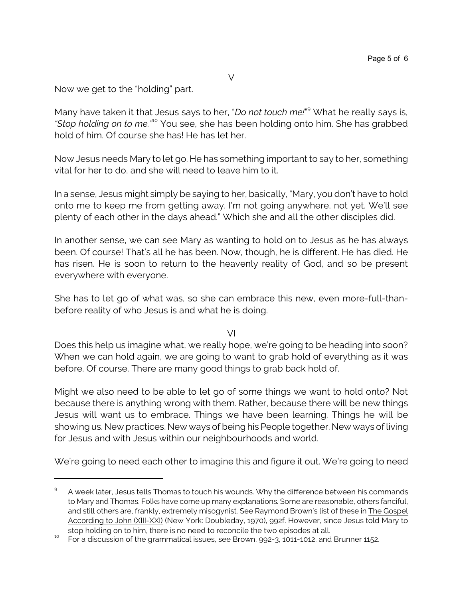Now we get to the "holding" part.

Many have taken it that Jesus says to her, "*Do not touch me!*" <sup>9</sup> What he really says is, *"Stop holding on to me."*<sup>10</sup> You see, she has been holding onto him. She has grabbed hold of him. Of course she has! He has let her.

Now Jesus needs Mary to let go. He has something important to say to her, something vital for her to do, and she will need to leave him to it.

In a sense, Jesus might simply be saying to her, basically, "Mary, you don't have to hold onto me to keep me from getting away. I'm not going anywhere, not yet. We'll see plenty of each other in the days ahead." Which she and all the other disciples did.

In another sense, we can see Mary as wanting to hold on to Jesus as he has always been. Of course! That's all he has been. Now, though, he is different. He has died. He has risen. He is soon to return to the heavenly reality of God, and so be present everywhere with everyone.

She has to let go of what was, so she can embrace this new, even more-full-thanbefore reality of who Jesus is and what he is doing.

VI

Does this help us imagine what, we really hope, we're going to be heading into soon? When we can hold again, we are going to want to grab hold of everything as it was before. Of course. There are many good things to grab back hold of.

Might we also need to be able to let go of some things we want to hold onto? Not because there is anything wrong with them. Rather, because there will be new things Jesus will want us to embrace. Things we have been learning. Things he will be showing us. New practices. New ways of being his People together. New ways of living for Jesus and with Jesus within our neighbourhoods and world.

We're going to need each other to imagine this and figure it out. We're going to need

<sup>9</sup> A week later, Jesus tells Thomas to touch his wounds. Why the difference between his commands to Mary and Thomas. Folks have come up many explanations. Some are reasonable, others fanciful, and still others are, frankly, extremely misogynist. See Raymond Brown's list of these in The Gospel According to John (XIII-XXI) (New York: Doubleday, 1970), 992f. However, since Jesus told Mary to stop holding on to him, there is no need to reconcile the two episodes at all.

 $10$  For a discussion of the grammatical issues, see Brown, 992-3, 1011-1012, and Brunner 1152.